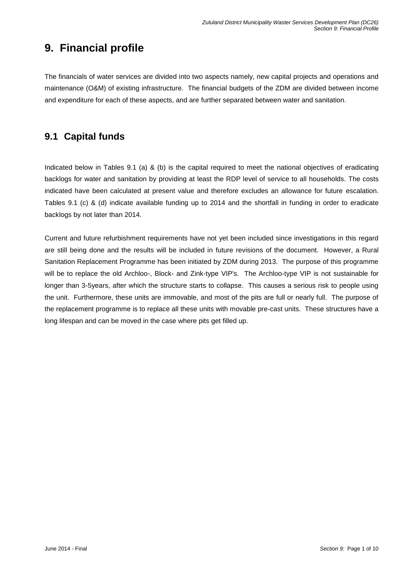# **9. Financial profile**

The financials of water services are divided into two aspects namely, new capital projects and operations and maintenance (O&M) of existing infrastructure. The financial budgets of the ZDM are divided between income and expenditure for each of these aspects, and are further separated between water and sanitation.

### **9.1 Capital funds**

Indicated below in Tables 9.1 (a) & (b) is the capital required to meet the national objectives of eradicating backlogs for water and sanitation by providing at least the RDP level of service to all households. The costs indicated have been calculated at present value and therefore excludes an allowance for future escalation. Tables 9.1 (c) & (d) indicate available funding up to 2014 and the shortfall in funding in order to eradicate backlogs by not later than 2014.

Current and future refurbishment requirements have not yet been included since investigations in this regard are still being done and the results will be included in future revisions of the document. However, a Rural Sanitation Replacement Programme has been initiated by ZDM during 2013. The purpose of this programme will be to replace the old Archloo-, Block- and Zink-type VIP's. The Archloo-type VIP is not sustainable for longer than 3-5years, after which the structure starts to collapse. This causes a serious risk to people using the unit. Furthermore, these units are immovable, and most of the pits are full or nearly full. The purpose of the replacement programme is to replace all these units with movable pre-cast units. These structures have a long lifespan and can be moved in the case where pits get filled up.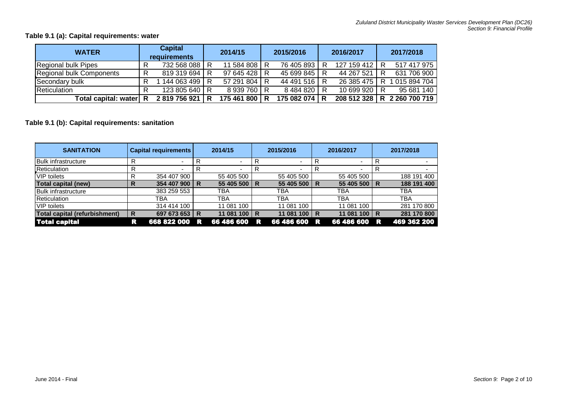### **Table 9.1 (a): Capital requirements: water**

| <b>WATER</b>             | <b>Capital</b><br>requirements |               | 2014/15 |               | 2015/2016 |               | 2016/2017 |               | 2017/2018 |                               |
|--------------------------|--------------------------------|---------------|---------|---------------|-----------|---------------|-----------|---------------|-----------|-------------------------------|
| Regional bulk Pipes      | R                              | 732 568 088   |         | 11 584 808 R  |           | 76 405 893    | R         | 127 159 412 1 |           | 517 417 975                   |
| Regional bulk Components | R                              | 819 319 694   |         | 97 645 428 R  |           | 45 699 845    | R         | 44 267 521    |           | 631 706 900                   |
| Secondary bulk           | R                              | 144 063 499   |         | 57 291 804 R  |           | 44 491 516 R  |           | 26 385 475    |           | 015 894 704                   |
| <b>Reticulation</b>      |                                | 123 805 640 R |         | 8 939 760 R   |           | 8484820       | R         | 10 699 920 R  |           | 95 681 140                    |
| Total capital: water R   |                                | 2819756921    | R       | 175 461 800 R |           | 175 082 074 R |           |               |           | 208 512 328   R 2 260 700 719 |

### **Table 9.1 (b): Capital requirements: sanitation**

| <b>SANITATION</b>             |   | <b>Capital requirements</b> |   | 2014/15        |   | 2015/2016                |    | 2016/2017                |     | 2017/2018   |
|-------------------------------|---|-----------------------------|---|----------------|---|--------------------------|----|--------------------------|-----|-------------|
| <b>Bulk infrastructure</b>    | R | $\overline{\phantom{a}}$    | R | $\blacksquare$ |   | $\overline{\phantom{0}}$ |    | $\overline{\phantom{0}}$ |     |             |
| Reticulation                  | R |                             | R |                |   |                          | R  |                          |     |             |
| <b>VIP</b> toilets            | R | 354 407 900                 |   | 55 405 500     |   | 55 405 500               |    | 55 405 500               |     | 188 191 400 |
| Total capital (new)           | R | 354 407 900                 | R | 55 405 500     | R | 55 405 500               | R  | 55 405 500               | l R | 188 191 400 |
| <b>Bulk infrastructure</b>    |   | 383 259 553                 |   | TBA            |   | TBA                      |    | TBA                      |     | TBA         |
| <b>Reticulation</b>           |   | TBA                         |   | TBA            |   | TBA                      |    | ТВА                      |     | TBA         |
| <b>VIP</b> toilets            |   | 314 414 100                 |   | 11 081 100     |   | 11 081 100               |    | 11 081 100               |     | 281 170 800 |
| Total capital (refurbishment) | R | 697 673 653                 | R | 11 081 100     | R | 100<br>11 081            | R  | 11 081 100               | I R | 281 170 800 |
| <b>Total capital</b>          | R | 668 822 000                 | R | 66 486 600     | R | 66 486 600               | /R | 66 486 600               | R   | 469 362 200 |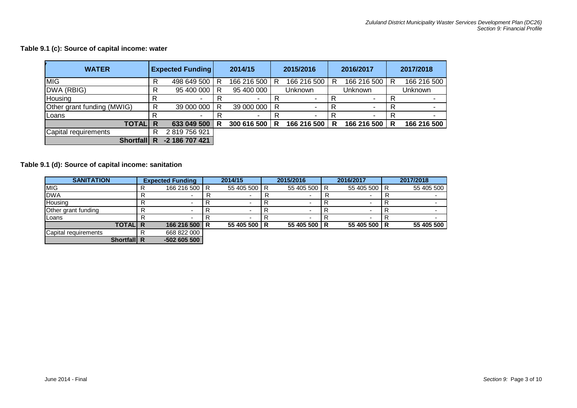#### **Table 9.1 (c): Source of capital income: water**

| <b>WATER</b>               |   | <b>Expected Funding</b> |   | 2014/15     |     | 2015/2016                |         |             |         |             |  | 2016/2017 |  | 2017/2018 |
|----------------------------|---|-------------------------|---|-------------|-----|--------------------------|---------|-------------|---------|-------------|--|-----------|--|-----------|
| MIG                        | R | 498 649 500             | R | 166 216 500 | R   | 166 216 500              | R       | 166 216 500 | R       | 166 216 500 |  |           |  |           |
| DWA (RBIG)                 | R | 95 400 000              | R | 95 400 000  |     | Unknown                  | Unknown |             | Unknown |             |  |           |  |           |
| Housing                    |   |                         |   |             |     |                          | R       |             |         |             |  |           |  |           |
| Other grant funding (MWIG) | R | 39 000 000              | R | 39 000 000  | I R |                          | R       |             | R       |             |  |           |  |           |
| <b>ILoans</b>              |   | -                       | R | ۰           |     | $\overline{\phantom{a}}$ | R       |             | R       |             |  |           |  |           |
| <b>TOTAL</b>               | R | 633 049 500             | R | 300 616 500 | R   | 166 216 500              | R       | 166 216 500 | R       | 166 216 500 |  |           |  |           |
| Capital requirements       | R | 2819756921              |   |             |     |                          |         |             |         |             |  |           |  |           |
| <b>Shortfall</b>           | R | -2 186 707 421          |   |             |     |                          |         |             |         |             |  |           |  |           |

### **Table 9.1 (d): Source of capital income: sanitation**

| <b>SANITATION</b>    | <b>Expected Funding</b> | 2014/15      | 2015/2016    | 2016/2017    | 2017/2018  |
|----------------------|-------------------------|--------------|--------------|--------------|------------|
| <b>MIG</b>           | 166 216 500 R           | 55 405 500 R | 55 405 500 R | 55 405 500 R | 55 405 500 |
| <b>DWA</b>           |                         |              |              |              |            |
| <b>Housing</b>       |                         |              |              |              |            |
| Other grant funding  |                         |              |              |              |            |
| Loans                |                         |              |              |              |            |
| <b>TOTALI R</b>      | 166 216 500 R           | 55 405 500 R | 55 405 500 R | 55 405 500 R | 55 405 500 |
| Capital requirements | 668 822 000             |              |              |              |            |
| Shortfall R          | $-502605500$            |              |              |              |            |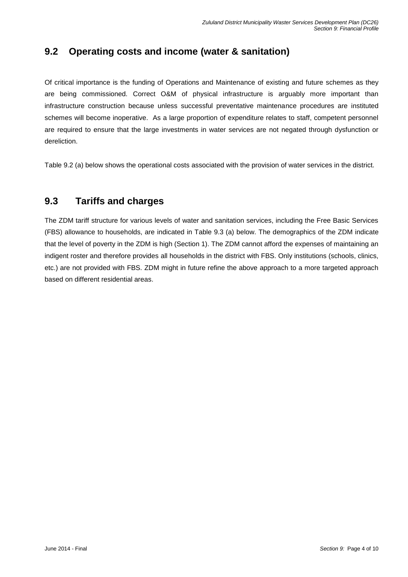## **9.2 Operating costs and income (water & sanitation)**

Of critical importance is the funding of Operations and Maintenance of existing and future schemes as they are being commissioned. Correct O&M of physical infrastructure is arguably more important than infrastructure construction because unless successful preventative maintenance procedures are instituted schemes will become inoperative. As a large proportion of expenditure relates to staff, competent personnel are required to ensure that the large investments in water services are not negated through dysfunction or dereliction.

Table 9.2 (a) below shows the operational costs associated with the provision of water services in the district.

### **9.3 Tariffs and charges**

The ZDM tariff structure for various levels of water and sanitation services, including the Free Basic Services (FBS) allowance to households, are indicated in Table 9.3 (a) below. The demographics of the ZDM indicate that the level of poverty in the ZDM is high (Section 1). The ZDM cannot afford the expenses of maintaining an indigent roster and therefore provides all households in the district with FBS. Only institutions (schools, clinics, etc.) are not provided with FBS. ZDM might in future refine the above approach to a more targeted approach based on different residential areas.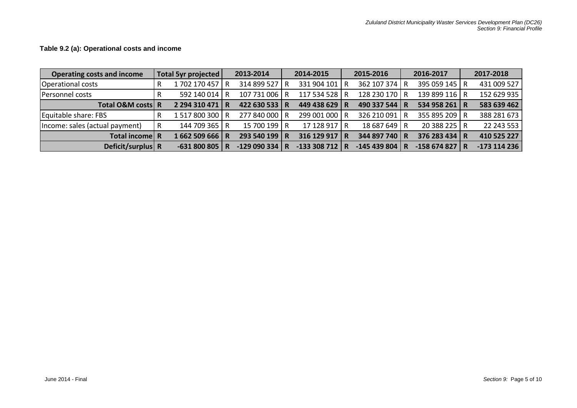**Operating costs and income Total 5yr projected 2013-2014 2014-2015 2015-2016 2016-2017 2017-2018** Operational costs | R 1 702 170 457 | R 314 899 527 | R 331 904 101 | R 362 107 374 | R 395 059 145 | R 431 009 527 Personnel costs | R 592 140 014 | R 107 731 006 | R 117 534 528 | R 128 230 170 | R 139 899 116 | R 152 629 935 **Total O&M costs R 2 294 310 471 R 422 630 533 R 449 438 629 R 490 337 544 R 534 958 261 R 583 639 462** Equitable share: FBS R 1 517 800 300 R 277 840 000 R 299 001 000 R 326 210 091 R 355 895 209 R 388 281 673 |Income: sales (actual payment) | R 144 709 365 | R 15 700 199 | R 17 128 917 | R 18 687 649 | R 20 388 225 | R 22 243 553 **Total income R 1 662 509 666 R 293 540 199 R 316 129 917 R 344 897 740 R 376 283 434 R 410 525 227 Deficit/surplus R -631 800 805 R -129 090 334 R -133 308 712 R -145 439 804 R -158 674 827 R -173 114 236**

#### **Table 9.2 (a): Operational costs and income**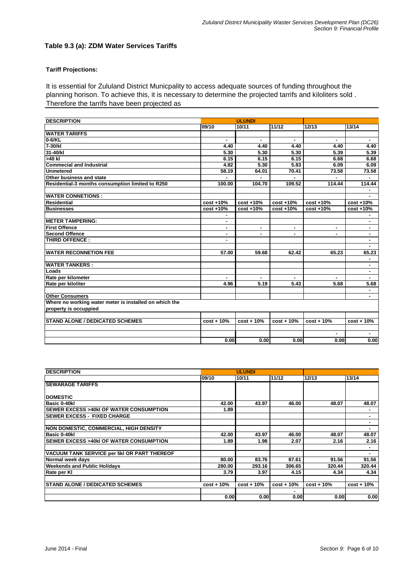#### **Table 9.3 (a): ZDM Water Services Tariffs**

#### **Tariff Projections:**

It is essential for Zululand District Municpality to access adequate sources of funding throughout the planning horison. To achieve this, it is necessary to determine the projected tarrifs and kiloliters sold . Therefore the tarrifs have been projected as

| <b>DESCRIPTION</b>                                     |              | <b>ULUNDI</b>  |              |                |                |
|--------------------------------------------------------|--------------|----------------|--------------|----------------|----------------|
|                                                        | 09/10        | 10/11          | 11/12        | 12/13          | 13/14          |
| <b>WATER TARIFFS</b>                                   |              |                |              |                |                |
| 0-6/KL                                                 |              |                |              |                |                |
| 7-30/kl                                                | 4.40         | 4.40           | 4.40         | 4.40           | 4.40           |
| 31-40/kl                                               | 5.30         | 5.30           | 5.30         | 5.39           | 5.39           |
| >40 kl                                                 | 6.15         | 6.15           | 6.15         | 6.68           | 6.68           |
| <b>Commecial and Industrial</b>                        | 4.82         | 5.30           | 5.83         | 6.09           | 6.09           |
| <b>Unmetered</b>                                       | 58.19        | 64.01          | 70.41        | 73.58          | 73.58          |
| Other business and state                               |              |                |              |                |                |
| Residential-3 months consumption limited to R250       | 100.00       | 104.70         | 109.52       | 114.44         | 114.44         |
|                                                        |              |                |              |                |                |
| <b>WATER CONNETIONS :</b>                              |              |                |              |                |                |
| <b>Residential</b>                                     | $cost + 10%$ | $cost + 10%$   | $cost + 10%$ | $cost + 10%$   | $cost + 10%$   |
| <b>Businesses</b>                                      | $cost + 10%$ | cost +10%      | $cost + 10%$ | $cost + 10%$   | cost +10%      |
|                                                        | ۰            |                |              |                | ٠              |
| <b>IMETER TAMPERING:</b>                               | ۰            |                |              |                | ٠              |
| <b>First Offence</b>                                   | ٠            | $\blacksquare$ | ٠            | $\blacksquare$ | ٠              |
| <b>Second Offence</b>                                  | ٠            | ٠              | ٠            | $\blacksquare$ | ٠              |
| THIRD OFFENCE:                                         | ٠            |                |              |                | ٠              |
|                                                        |              |                |              |                | ٠              |
| <b>WATER RECONNETION FEE</b>                           | 57.00        | 59.68          | 62.42        | 65.23          | 65.23          |
|                                                        |              |                |              |                | ٠              |
| <b>WATER TANKERS:</b>                                  |              |                |              |                | ٠              |
| <b>Loads</b>                                           |              |                |              |                | ٠              |
| Rate per kilometer                                     | ۰.           | $\mathbf{r}$   | ÷.           | $\blacksquare$ | $\blacksquare$ |
| Rate per kiloliter                                     | 4.96         | 5.19           | 5.43         | 5.68           | 5.68           |
|                                                        |              |                |              |                |                |
| <b>Other Consumers</b>                                 |              |                |              |                |                |
| Where no working water meter is installed on which the |              |                |              |                |                |
| property is occuppied                                  |              |                |              |                |                |
|                                                        |              |                |              |                |                |
| <b>STAND ALONE / DEDICATED SCHEMES</b>                 | $cost + 10%$ | $cost + 10%$   | $cost + 10%$ | $cost + 10%$   | $cost + 10%$   |
|                                                        |              |                |              |                |                |
|                                                        |              |                |              |                |                |
|                                                        | 0.00         | 0.00           | 0.00         | 0.00           | 0.00           |

| <b>DESCRIPTION</b>                                 |              | <b>ULUNDI</b> |              |              |              |
|----------------------------------------------------|--------------|---------------|--------------|--------------|--------------|
|                                                    | 09/10        | 10/11         | 11/12        | 12/13        | 13/14        |
| <b>ISEWARAGE TARIFFS</b>                           |              |               |              |              |              |
|                                                    |              |               |              |              |              |
| <b>IDOMESTIC</b>                                   |              |               |              |              |              |
| Basic 0-40kl                                       | 42.00        | 43.97         | 46.00        | 48.07        | 48.07        |
| <b>ISEWER EXCESS &gt;40kI OF WATER CONSUMPTION</b> | 1.89         |               |              |              |              |
| <b>ISEWER EXCESS - FIXED CHARGE</b>                |              |               |              |              | ۰            |
|                                                    |              |               |              |              | ۰            |
| <b>NON DOMESTIC, COMMERCIAL, HIGH DENSITY</b>      |              |               |              |              |              |
| Basic 0-40kl                                       | 42.00        | 43.97         | 46.00        | 48.07        | 48.07        |
| <b>SEWER EXCESS &gt;40kl OF WATER CONSUMPTION</b>  | 1.89         | 1.98          | 2.07         | 2.16         | 2.16         |
|                                                    |              |               |              |              |              |
| VACUUM TANK SERVICE per 5kl OR PART THEREOF        |              |               |              |              |              |
| Normal week days                                   | 80.00        | 83.76         | 87.61        | 91.56        | 91.56        |
| <b>Weekends and Public Holidays</b>                | 280.00       | 293.16        | 306.65       | 320.44       | 320.44       |
| Rate per KI                                        | 3.79         | 3.97          | 4.15         | 4.34         | 4.34         |
|                                                    |              |               |              |              |              |
| <b>ISTAND ALONE / DEDICATED SCHEMES</b>            | $cost + 10%$ | $cost + 10%$  | $cost + 10%$ | $cost + 10%$ | $cost + 10%$ |
|                                                    |              |               |              |              |              |
|                                                    | 0.00         | 0.00          | 0.00         | 0.00         | 0.00         |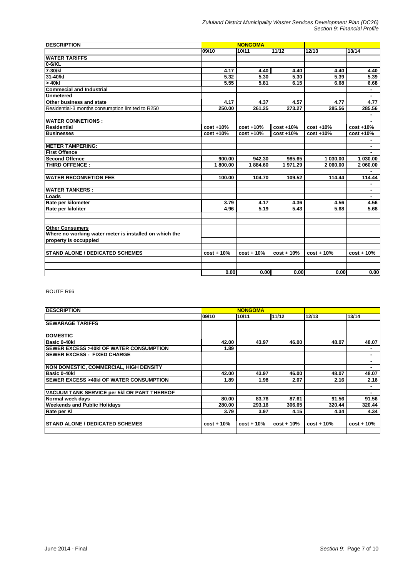| <b>DESCRIPTION</b>                                     |              | <b>NONGOMA</b> |              |              |              |  |
|--------------------------------------------------------|--------------|----------------|--------------|--------------|--------------|--|
|                                                        | 09/10        | 10/11          | 11/12        | 12/13        | 13/14        |  |
| <b>WATER TARIFFS</b>                                   |              |                |              |              |              |  |
| $0 - 6$ /KL                                            |              |                |              |              |              |  |
| 7-30/kl                                                | 4.17         | 4.40           | 4.40         | 4.40         | 4.40         |  |
| 31-40/kl                                               | 5.32         | 5.30           | 5.30         | 5.39         | 5.39         |  |
| > 40kl                                                 | 5.55         | 5.81           | 6.15         | 6.68         | 6.68         |  |
| <b>Commecial and Industrial</b>                        |              |                |              |              |              |  |
| <b>Unmetered</b>                                       |              |                |              |              |              |  |
| Other business and state                               | 4.17         | 4.37           | 4.57         | 4.77         | 4.77         |  |
| Residential-3 months consumption limited to R250       | 250.00       | 261.25         | 273.27       | 285.56       | 285.56       |  |
| <b>WATER CONNETIONS:</b>                               |              |                |              |              |              |  |
| <b>Residential</b>                                     | cost +10%    | $cost + 10%$   | cost +10%    | cost +10%    | cost +10%    |  |
| <b>Businesses</b>                                      |              | cost +10%      | cost +10%    | cost +10%    | cost +10%    |  |
|                                                        | cost +10%    |                |              |              |              |  |
| IMETER TAMPERING:                                      |              |                |              |              |              |  |
| <b>First Offence</b>                                   |              |                |              |              |              |  |
| <b>Second Offence</b>                                  | 900.00       | 942.30         | 985.65       | 1 030.00     | 1 030.00     |  |
| THIRD OFFENCE:                                         | 1800.00      | 1884.60        | 1971.29      | 2 060.00     | 2 060.00     |  |
|                                                        |              |                |              |              |              |  |
| <b>WATER RECONNETION FEE</b>                           | 100.00       | 104.70         | 109.52       | 114.44       | 114.44       |  |
| <b>WATER TANKERS:</b>                                  |              |                |              |              | ٠            |  |
| Loads                                                  |              |                |              |              |              |  |
| Rate per kilometer                                     | 3.79         | 4.17           | 4.36         | 4.56         | 4.56         |  |
| Rate per kiloliter                                     | 4.96         | 5.19           | 5.43         | 5.68         | 5.68         |  |
|                                                        |              |                |              |              |              |  |
| <b>Other Consumers</b>                                 |              |                |              |              |              |  |
| Where no working water meter is installed on which the |              |                |              |              |              |  |
| property is occuppied                                  |              |                |              |              |              |  |
| <b>STAND ALONE / DEDICATED SCHEMES</b>                 | $cost + 10%$ | $cost + 10%$   | $cost + 10%$ | $cost + 10%$ | $cost + 10%$ |  |
|                                                        |              |                |              |              |              |  |
|                                                        |              |                |              |              |              |  |
|                                                        | 0.00         | 0.00           | 0.00         | 0.00         | 0.00         |  |

ROUTE R66

| <b>DESCRIPTION</b>                                 |              | <b>NONGOMA</b> |              |              |              |
|----------------------------------------------------|--------------|----------------|--------------|--------------|--------------|
|                                                    | 09/10        | 10/11          | 11/12        | 12/13        | 13/14        |
| <b>SEWARAGE TARIFFS</b>                            |              |                |              |              |              |
| <b>DOMESTIC</b>                                    |              |                |              |              |              |
| Basic 0-40kl                                       | 42.00        | 43.97          | 46.00        | 48.07        | 48.07        |
| <b>ISEWER EXCESS &gt;40kI OF WATER CONSUMPTION</b> | 1.89         |                |              |              | ۰            |
| <b>SEWER EXCESS - FIXED CHARGE</b>                 |              |                |              |              | ۰            |
|                                                    |              |                |              |              | ۰            |
| <b>INON DOMESTIC, COMMERCIAL, HIGH DENSITY</b>     |              |                |              |              |              |
| Basic 0-40kl                                       | 42.00        | 43.97          | 46.00        | 48.07        | 48.07        |
| <b>ISEWER EXCESS &gt;40kI OF WATER CONSUMPTION</b> | 1.89         | 1.98           | 2.07         | 2.16         | 2.16         |
| VACUUM TANK SERVICE per 5kl OR PART THEREOF        |              |                |              |              | ۰<br>۰       |
| Normal week days                                   | 80.00        | 83.76          | 87.61        | 91.56        | 91.56        |
| <b>Weekends and Public Holidays</b>                | 280.00       | 293.16         | 306.65       | 320.44       | 320.44       |
| Rate per KI                                        | 3.79         | 3.97           | 4.15         | 4.34         | 4.34         |
| <b>ISTAND ALONE / DEDICATED SCHEMES</b>            | $cost + 10%$ | $cost + 10%$   | $cost + 10%$ | $cost + 10%$ | $cost + 10%$ |
|                                                    |              |                |              |              |              |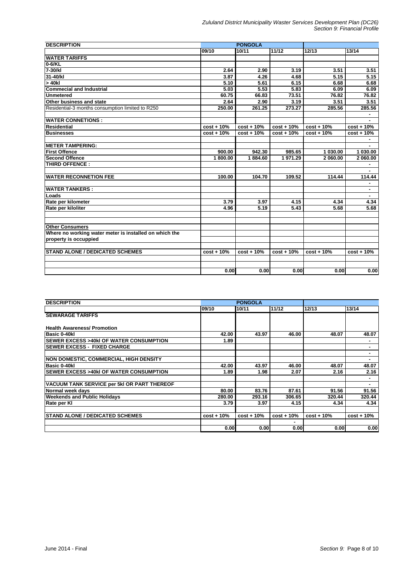| <b>DESCRIPTION</b>                                     |              | <b>PONGOLA</b> |              |              |              |  |  |
|--------------------------------------------------------|--------------|----------------|--------------|--------------|--------------|--|--|
|                                                        | 09/10        | 10/11          | 11/12        | 12/13        | 13/14        |  |  |
| <b>WATER TARIFFS</b>                                   |              |                |              |              |              |  |  |
| $0 - 6$ /KL                                            |              |                |              |              |              |  |  |
| $7-30/kl$                                              | 2.64         | 2.90           | 3.19         | 3.51         | 3.51         |  |  |
| 31-40/kl                                               | 3.87         | 4.26           | 4.68         | 5.15         | 5.15         |  |  |
| $> 40$ kl                                              | 5.10         | 5.61           | 6.15         | 6.68         | 6.68         |  |  |
| <b>Commecial and Industrial</b>                        | 5.03         | 5.53           | 5.83         | 6.09         | 6.09         |  |  |
| <b>Unmetered</b>                                       | 60.75        | 66.83          | 73.51        | 76.82        | 76.82        |  |  |
| Other business and state                               | 2.64         | 2.90           | 3.19         | 3.51         | 3.51         |  |  |
| Residential-3 months consumption limited to R250       | 250.00       | 261.25         | 273.27       | 285.56       | 285.56       |  |  |
| <b>WATER CONNETIONS:</b>                               |              |                |              |              |              |  |  |
| Residential                                            | $cost + 10%$ | $cost + 10%$   | $cost + 10%$ | $cost + 10%$ | $cost + 10%$ |  |  |
| <b>Businesses</b>                                      | $cost + 10%$ | $cost + 10%$   | $cost + 10%$ | $cost + 10%$ | $cost + 10%$ |  |  |
|                                                        |              |                |              |              |              |  |  |
| <b>METER TAMPERING:</b>                                |              |                |              |              |              |  |  |
| <b>First Offence</b>                                   | 900.00       | 942.30         | 985.65       | 1 030.00     | 1 030.00     |  |  |
| <b>Second Offence</b>                                  | 1800.00      | 1884.60        | 1971.29      | 2 060.00     | 2 060.00     |  |  |
| THIRD OFFENCE:                                         |              |                |              |              |              |  |  |
|                                                        |              |                |              |              |              |  |  |
| <b>WATER RECONNETION FEE</b>                           | 100.00       | 104.70         | 109.52       | 114.44       | 114.44       |  |  |
| <b>WATER TANKERS:</b>                                  |              |                |              |              | ٠            |  |  |
| Loads                                                  |              |                |              |              |              |  |  |
| Rate per kilometer                                     | 3.79         | 3.97           | 4.15         | 4.34         | 4.34         |  |  |
| Rate per kiloliter                                     | 4.96         | 5.19           | 5.43         | 5.68         | 5.68         |  |  |
|                                                        |              |                |              |              |              |  |  |
| <b>Other Consumers</b>                                 |              |                |              |              |              |  |  |
| Where no working water meter is installed on which the |              |                |              |              |              |  |  |
| property is occuppied                                  |              |                |              |              |              |  |  |
| <b>STAND ALONE / DEDICATED SCHEMES</b>                 | $cost + 10%$ | $cost + 10%$   | $cost + 10%$ | $cost + 10%$ | $cost + 10%$ |  |  |
|                                                        |              |                |              |              |              |  |  |
|                                                        | 0.00         | 0.00           | 0.00         | 0.00         | 0.00         |  |  |

| <b>DESCRIPTION</b>                                 |                   | <b>PONGOLA</b> |              |              |              |
|----------------------------------------------------|-------------------|----------------|--------------|--------------|--------------|
|                                                    | 09/10             | 10/11          | 11/12        | 12/13        | 13/14        |
| <b>SEWARAGE TARIFFS</b>                            |                   |                |              |              |              |
|                                                    |                   |                |              |              |              |
| <b>Health Awareness/ Promotion</b>                 |                   |                |              |              |              |
| Basic 0-40kl                                       | 42.00             | 43.97          | 46.00        | 48.07        | 48.07        |
| <b>ISEWER EXCESS &gt;40kI OF WATER CONSUMPTION</b> | 1.89              |                |              |              |              |
| <b>ISEWER EXCESS - FIXED CHARGE</b>                |                   |                |              |              | ٠            |
|                                                    |                   |                |              |              | ۰            |
| <b>NON DOMESTIC, COMMERCIAL, HIGH DENSITY</b>      |                   |                |              |              |              |
| Basic 0-40kl                                       | 42.00             | 43.97          | 46.00        | 48.07        | 48.07        |
| <b>ISEWER EXCESS &gt;40kI OF WATER CONSUMPTION</b> | 1.89              | 1.98           | 2.07         | 2.16         | 2.16         |
|                                                    |                   |                |              |              |              |
| VACUUM TANK SERVICE per 5kl OR PART THEREOF        |                   |                |              |              |              |
| Normal week days                                   | 80.00             | 83.76          | 87.61        | 91.56        | 91.56        |
| <b>Weekends and Public Holidays</b>                | 280.00            | 293.16         | 306.65       | 320.44       | 320.44       |
| Rate per Kl                                        | 3.79              | 3.97           | 4.15         | 4.34         | 4.34         |
|                                                    |                   |                |              |              |              |
| <b>ISTAND ALONE / DEDICATED SCHEMES</b>            | $cost + 10%$      | $cost + 10%$   | $cost + 10%$ | $cost + 10%$ | $cost + 10%$ |
|                                                    |                   |                |              |              |              |
|                                                    | 0.00 <sub>l</sub> | 0.00           | 0.00         | 0.00         | 0.00         |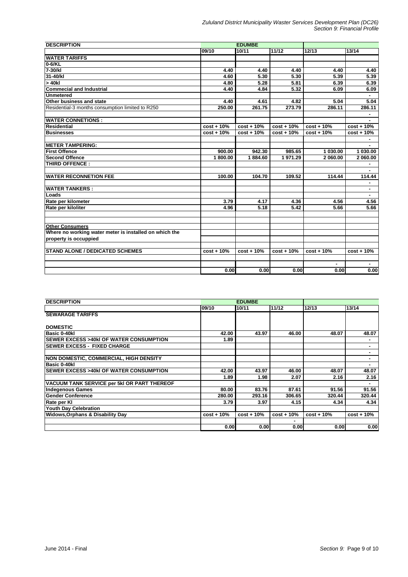| <b>DESCRIPTION</b>                                     |              | <b>EDUMBE</b> |              |              |              |
|--------------------------------------------------------|--------------|---------------|--------------|--------------|--------------|
|                                                        | 09/10        | 10/11         | 11/12        | 12/13        | 13/14        |
| <b>WATER TARIFFS</b>                                   |              |               |              |              |              |
| 0-6/KL                                                 |              |               |              |              |              |
| 7-30/kl                                                | 4.40         | 4.40          | 4.40         | 4.40         | 4.40         |
| 31-40/kl                                               | 4.60         | 5.30          | 5.30         | 5.39         | 5.39         |
| $> 40$ kl                                              | 4.80         | 5.28          | 5.81         | 6.39         | 6.39         |
| <b>Commecial and Industrial</b>                        | 4.40         | 4.84          | 5.32         | 6.09         | 6.09         |
| <b>Unmetered</b>                                       |              |               |              |              |              |
| Other business and state                               | 4.40         | 4.61          | 4.82         | 5.04         | 5.04         |
| Residential-3 months consumption limited to R250       | 250.00       | 261.75        | 273.79       | 286.11       | 286.11       |
|                                                        |              |               |              |              |              |
| <b>WATER CONNETIONS:</b>                               |              |               |              |              |              |
| <b>Residential</b>                                     | $cost + 10%$ | $cost + 10%$  | $cost + 10%$ | $cost + 10%$ | $cost + 10%$ |
| <b>Businesses</b>                                      | $cost + 10%$ | $cost + 10%$  | $cost + 10%$ | $cost + 10%$ | $cost + 10%$ |
|                                                        |              |               |              |              |              |
| <b>IMETER TAMPERING:</b>                               |              |               |              |              |              |
| <b>First Offence</b>                                   | 900.00       | 942.30        | 985.65       | 1 030.00     | 1 030.00     |
| <b>Second Offence</b>                                  | 1800.00      | 1884.60       | 1971.29      | 2 060.00     | 2 060.00     |
| <b>THIRD OFFENCE:</b>                                  |              |               |              |              |              |
|                                                        |              |               |              |              |              |
| <b>WATER RECONNETION FEE</b>                           | 100.00       | 104.70        | 109.52       | 114.44       | 114.44       |
|                                                        |              |               |              |              |              |
| <b>WATER TANKERS :</b>                                 |              |               |              |              | ٠            |
| Loads                                                  |              |               |              |              |              |
| Rate per kilometer                                     | 3.79         | 4.17          | 4.36         | 4.56         | 4.56         |
| Rate per kiloliter                                     | 4.96         | 5.18          | 5.42         | 5.66         | 5.66         |
| <b>Other Consumers</b>                                 |              |               |              |              |              |
| Where no working water meter is installed on which the |              |               |              |              |              |
| property is occuppied                                  |              |               |              |              |              |
| <b>STAND ALONE / DEDICATED SCHEMES</b>                 | $cost + 10%$ | $cost + 10%$  | $cost + 10%$ | $cost + 10%$ | $cost + 10%$ |
|                                                        |              |               |              |              |              |
|                                                        |              |               |              |              |              |
|                                                        | 0.00         | 0.00          | 0.00         | 0.00         | 0.00         |

| <b>DESCRIPTION</b>                                 |                   | <b>EDUMBE</b> |              |              |              |
|----------------------------------------------------|-------------------|---------------|--------------|--------------|--------------|
|                                                    | 09/10             | 10/11         | 11/12        | 12/13        | 13/14        |
| <b>SEWARAGE TARIFFS</b>                            |                   |               |              |              |              |
|                                                    |                   |               |              |              |              |
| <b>DOMESTIC</b>                                    |                   |               |              |              |              |
| Basic 0-40kl                                       | 42.00             | 43.97         | 46.00        | 48.07        | 48.07        |
| <b>ISEWER EXCESS &gt;40kI OF WATER CONSUMPTION</b> | 1.89              |               |              |              |              |
| <b>ISEWER EXCESS - FIXED CHARGE</b>                |                   |               |              |              |              |
|                                                    |                   |               |              |              |              |
| <b>NON DOMESTIC, COMMERCIAL, HIGH DENSITY</b>      |                   |               |              |              |              |
| Basic 0-40kl                                       |                   |               |              |              |              |
| <b>ISEWER EXCESS &gt;40kI OF WATER CONSUMPTION</b> | 42.00             | 43.97         | 46.00        | 48.07        | 48.07        |
|                                                    | 1.89              | 1.98          | 2.07         | 2.16         | 2.16         |
| VACUUM TANK SERVICE per 5kl OR PART THEREOF        |                   |               |              |              |              |
| <b>Indegenous Games</b>                            | 80.00             | 83.76         | 87.61        | 91.56        | 91.56        |
| lGender Conference                                 | 280.00            | 293.16        | 306.65       | 320.44       | 320.44       |
| Rate per KI                                        | 3.79              | 3.97          | 4.15         | 4.34         | 4.34         |
| <b>Youth Day Celebration</b>                       |                   |               |              |              |              |
| <b>Widows, Orphans &amp; Disability Day</b>        | $cost + 10%$      | $cost + 10%$  | $cost + 10%$ | $cost + 10%$ | $cost + 10%$ |
|                                                    |                   |               |              |              |              |
|                                                    | 0.00 <sub>l</sub> | 0.00          | 0.00         | 0.00         | 0.00         |